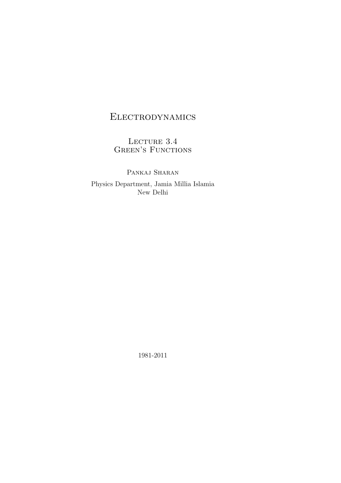# Electrodynamics

LECTURE  $3.4\,$ GREEN'S FUNCTIONS

PANKAJ SHARAN Physics Department, Jamia Millia Islamia New Delhi

1981-2011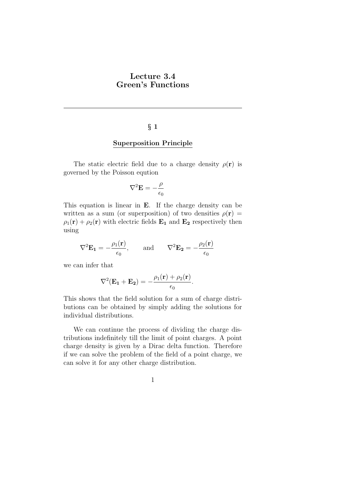### Lecture 3.4 Green's Functions

### § 1

#### Superposition Principle

The static electric field due to a charge density  $\rho(\mathbf{r})$  is governed by the Poisson eqution

$$
\nabla^2 \mathbf{E} = -\frac{\rho}{\epsilon_0}
$$

This equation is linear in E. If the charge density can be written as a sum (or superposition) of two densities  $\rho(\mathbf{r}) =$  $\rho_1(\mathbf{r}) + \rho_2(\mathbf{r})$  with electric fields  $\mathbf{E}_1$  and  $\mathbf{E}_2$  respectively then using

$$
\nabla^2 \mathbf{E_1} = -\frac{\rho_1(\mathbf{r})}{\epsilon_0}, \quad \text{and} \quad \nabla^2 \mathbf{E_2} = -\frac{\rho_2(\mathbf{r})}{\epsilon_0}
$$

we can infer that

$$
\nabla^2(\mathbf{E_1} + \mathbf{E_2}) = -\frac{\rho_1(\mathbf{r}) + \rho_2(\mathbf{r})}{\epsilon_0}.
$$

This shows that the field solution for a sum of charge distributions can be obtained by simply adding the solutions for individual distributions.

We can continue the process of dividing the charge distributions indefinitely till the limit of point charges. A point charge density is given by a Dirac delta function. Therefore if we can solve the problem of the field of a point charge, we can solve it for any other charge distribution.

1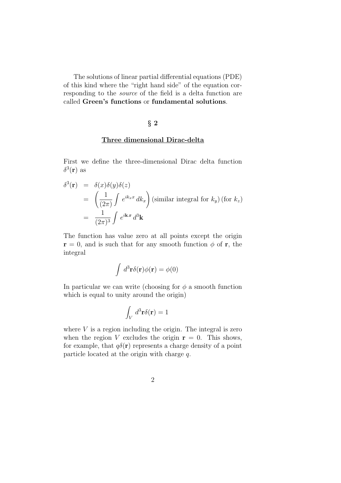The solutions of linear partial differential equations (PDE) of this kind where the "right hand side" of the equation corresponding to the *source* of the field is a delta function are called Green's functions or fundamental solutions.

### § 2

#### Three dimensional Dirac-delta

First we define the three-dimensional Dirac delta function  $\delta^3(\mathbf{r})$  as

$$
\delta^{3}(\mathbf{r}) = \delta(x)\delta(y)\delta(z)
$$
  
=  $\left(\frac{1}{(2\pi)}\int e^{ik_{x}x} dk_{x}\right)$  (similar integral for  $k_{y}$ ) (for  $k_{z}$ )  
=  $\frac{1}{(2\pi)^{3}}\int e^{i\mathbf{k}\cdot\mathbf{r}} d^{3}\mathbf{k}$ 

The function has value zero at all points except the origin  $\mathbf{r} = 0$ , and is such that for any smooth function  $\phi$  of **r**, the integral

$$
\int d^3 \mathbf{r} \delta(\mathbf{r}) \phi(\mathbf{r}) = \phi(0)
$$

In particular we can write (choosing for  $\phi$  a smooth function which is equal to unity around the origin)

$$
\int_V d^3 \mathbf{r} \delta(\mathbf{r}) = 1
$$

where  $V$  is a region including the origin. The integral is zero when the region V excludes the origin  $r = 0$ . This shows, for example, that  $q\delta(\mathbf{r})$  represents a charge density of a point particle located at the origin with charge  $q$ .

$$
\mathbf{2}
$$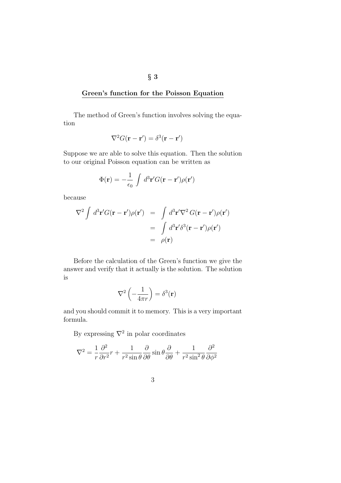### Green's function for the Poisson Equation

The method of Green's function involves solving the equation

$$
\nabla^2 G(\mathbf{r} - \mathbf{r}') = \delta^3(\mathbf{r} - \mathbf{r}')
$$

Suppose we are able to solve this equation. Then the solution to our original Poisson equation can be written as

$$
\Phi(\mathbf{r}) = -\frac{1}{\epsilon_0} \int d^3 \mathbf{r}' G(\mathbf{r} - \mathbf{r}') \rho(\mathbf{r}')
$$

because

$$
\nabla^2 \int d^3 \mathbf{r}' G(\mathbf{r} - \mathbf{r}') \rho(\mathbf{r}') = \int d^3 \mathbf{r}' \nabla^2 G(\mathbf{r} - \mathbf{r}') \rho(\mathbf{r}')
$$
  
= 
$$
\int d^3 \mathbf{r}' \delta^3(\mathbf{r} - \mathbf{r}') \rho(\mathbf{r}')
$$
  
= 
$$
\rho(\mathbf{r})
$$

Before the calculation of the Green's function we give the answer and verify that it actually is the solution. The solution is

$$
\nabla^2 \left( -\frac{1}{4\pi r} \right) = \delta^3(\mathbf{r})
$$

and you should commit it to memory. This is a very important formula.

By expressing  $\nabla^2$  in polar coordinates

$$
\nabla^2 = \frac{1}{r} \frac{\partial^2}{\partial r^2} r + \frac{1}{r^2 \sin \theta} \frac{\partial}{\partial \theta} \sin \theta \frac{\partial}{\partial \theta} + \frac{1}{r^2 \sin^2 \theta} \frac{\partial^2}{\partial \phi^2}
$$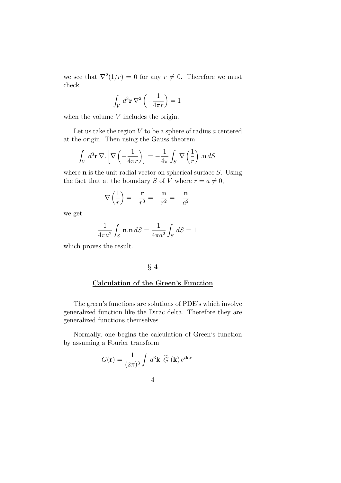we see that  $\nabla^2(1/r) = 0$  for any  $r \neq 0$ . Therefore we must check

$$
\int_{V} d^{3} \mathbf{r} \nabla^{2} \left( -\frac{1}{4\pi r} \right) = 1
$$

when the volume  $V$  includes the origin.

Let us take the region  $V$  to be a sphere of radius  $a$  centered at the origin. Then using the Gauss theorem

$$
\int_{V} d^{3} \mathbf{r} \, \nabla. \left[ \nabla \left( -\frac{1}{4\pi r} \right) \right] = -\frac{1}{4\pi} \int_{S} \nabla \left( \frac{1}{r} \right) \cdot \mathbf{n} \, dS
$$

where  **is the unit radial vector on spherical surface**  $S$ **. Using** the fact that at the boundary S of V where  $r = a \neq 0$ ,

$$
\nabla \left(\frac{1}{r}\right) = -\frac{\mathbf{r}}{r^3} = -\frac{\mathbf{n}}{r^2} = -\frac{\mathbf{n}}{a^2}
$$

we get

$$
\frac{1}{4\pi a^2} \int_S \mathbf{n} \cdot \mathbf{n} \, dS = \frac{1}{4\pi a^2} \int_S dS = 1
$$

which proves the result.

### § 4

### Calculation of the Green's Function

The green's functions are solutions of PDE's which involve generalized function like the Dirac delta. Therefore they are generalized functions themselves.

Normally, one begins the calculation of Green's function by assuming a Fourier transform

$$
G(\mathbf{r}) = \frac{1}{(2\pi)^3} \int d^3 \mathbf{k} \, \widetilde{G} \, (\mathbf{k}) \, e^{i\mathbf{k} \cdot \mathbf{r}}
$$

$$
\;4\;
$$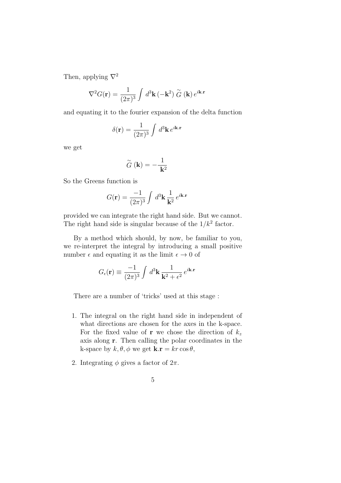Then, applying  $\nabla^2$ 

$$
\nabla^2 G(\mathbf{r}) = \frac{1}{(2\pi)^3} \int d^3 \mathbf{k} \, (-\mathbf{k}^2) \stackrel{\sim}{G} (\mathbf{k}) e^{i\mathbf{k} \cdot \mathbf{r}}
$$

and equating it to the fourier expansion of the delta function

$$
\delta(\mathbf{r}) = \frac{1}{(2\pi)^3} \int d^3 \mathbf{k} e^{i\mathbf{k} \cdot \mathbf{r}}
$$

we get

$$
\stackrel{\sim}{G}(\mathbf{k}) = -\frac{1}{\mathbf{k}^2}
$$

So the Greens function is

$$
G(\mathbf{r}) = \frac{-1}{(2\pi)^3} \int d^3 \mathbf{k} \, \frac{1}{\mathbf{k}^2} \, e^{i\mathbf{k} \cdot \mathbf{r}}
$$

provided we can integrate the right hand side. But we cannot. The right hand side is singular because of the  $1/k^2$  factor.

By a method which should, by now, be familiar to you, we re-interpret the integral by introducing a small positive number  $\epsilon$  and equating it as the limit  $\epsilon \to 0$  of

$$
G_{\epsilon}(\mathbf{r}) \equiv \frac{-1}{(2\pi)^3} \int d^3 \mathbf{k} \, \frac{1}{\mathbf{k}^2 + \epsilon^2} \, e^{i\mathbf{k} \cdot \mathbf{r}}
$$

There are a number of 'tricks' used at this stage :

- 1. The integral on the right hand side in independent of what directions are chosen for the axes in the k-space. For the fixed value of **r** we chose the direction of  $k_z$ axis along r. Then calling the polar coordinates in the k-space by  $k, \theta, \phi$  we get  $\mathbf{k} \cdot \mathbf{r} = kr \cos \theta$ ,
- 2. Integrating  $\phi$  gives a factor of  $2\pi$ .
	- 5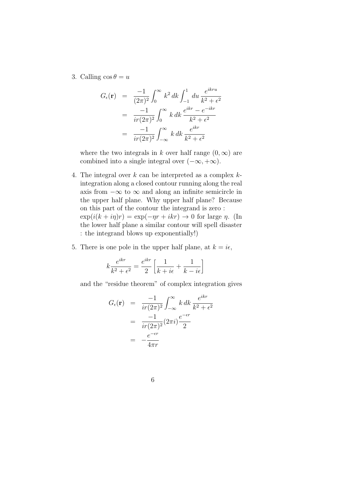3. Calling  $\cos \theta = u$ 

$$
G_{\epsilon}(\mathbf{r}) = \frac{-1}{(2\pi)^2} \int_0^{\infty} k^2 dk \int_{-1}^1 du \frac{e^{ikru}}{k^2 + \epsilon^2}
$$
  
= 
$$
\frac{-1}{ir(2\pi)^2} \int_0^{\infty} k dk \frac{e^{ikr} - e^{-ikr}}{k^2 + \epsilon^2}
$$
  
= 
$$
\frac{-1}{ir(2\pi)^2} \int_{-\infty}^{\infty} k dk \frac{e^{ikr}}{k^2 + \epsilon^2}
$$

where the two integrals in k over half range  $(0, \infty)$  are combined into a single integral over  $(-\infty, +\infty)$ .

- 4. The integral over  $k$  can be interpreted as a complex  $k$ integration along a closed contour running along the real axis from  $-\infty$  to  $\infty$  and along an infinite semicircle in the upper half plane. Why upper half plane? Because on this part of the contour the integrand is zero :  $\exp(i(k + i\eta)r) = \exp(-\eta r + ikr) \to 0$  for large  $\eta$ . (In the lower half plane a similar contour will spell disaster : the integrand blows up exponentially!)
- 5. There is one pole in the upper half plane, at  $k = i\epsilon$ ,

$$
k\frac{e^{ikr}}{k^2+\epsilon^2} = \frac{e^{ikr}}{2}\left[\frac{1}{k+i\epsilon} + \frac{1}{k-i\epsilon}\right]
$$

and the "residue theorem" of complex integration gives

$$
G_{\epsilon}(\mathbf{r}) = \frac{-1}{ir(2\pi)^2} \int_{-\infty}^{\infty} k \, dk \, \frac{e^{ikr}}{k^2 + \epsilon^2}
$$

$$
= \frac{-1}{ir(2\pi)^2} (2\pi i) \frac{e^{-\epsilon r}}{2}
$$

$$
= -\frac{e^{-\epsilon r}}{4\pi r}
$$

6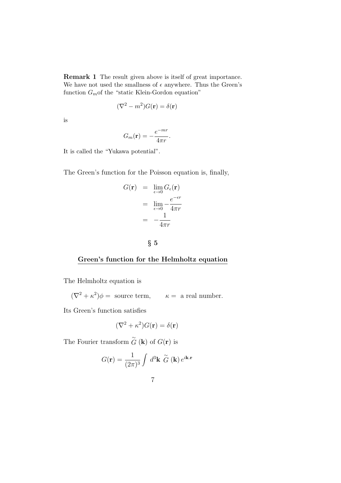Remark 1 The result given above is itself of great importance. We have not used the smallness of  $\epsilon$  anywhere. Thus the Green's function  $G_m$  of the "static Klein-Gordon equation"

$$
(\nabla^2 - m^2)G(\mathbf{r}) = \delta(\mathbf{r})
$$

is

$$
G_m(\mathbf{r}) = -\frac{e^{-mr}}{4\pi r}.
$$

It is called the "Yukawa potential".

The Green's function for the Poisson equation is, finally,

$$
G(\mathbf{r}) = \lim_{\epsilon \to 0} G_{\epsilon}(\mathbf{r})
$$

$$
= \lim_{\epsilon \to 0} -\frac{e^{-\epsilon r}}{4\pi r}
$$

$$
= -\frac{1}{4\pi r}
$$

$$
\S~5
$$

### Green's function for the Helmholtz equation

The Helmholtz equation is

 $(\nabla^2 + \kappa^2)\phi =$  source term,  $\kappa =$  a real number.

Its Green's function satisfies

$$
(\nabla^2 + \kappa^2)G(\mathbf{r}) = \delta(\mathbf{r})
$$

The Fourier transform  $\stackrel{\sim}{G}$  (**k**) of  $G(\mathbf{r})$  is

$$
G(\mathbf{r}) = \frac{1}{(2\pi)^3} \int d^3 \mathbf{k} \, \widetilde{G} \, (\mathbf{k}) \, e^{i\mathbf{k} \cdot \mathbf{r}}
$$

$$
\overline{7}
$$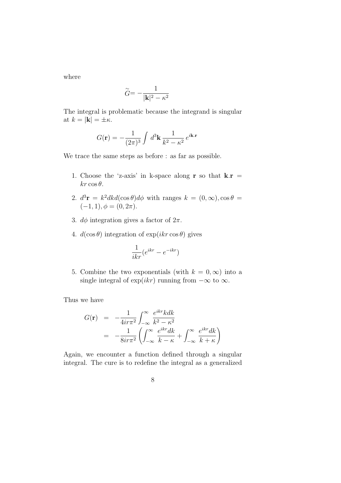where

$$
\widetilde{G} = -\frac{1}{|\mathbf{k}|^2 - \kappa^2}
$$

The integral is problematic because the integrand is singular at  $k = |\mathbf{k}| = \pm \kappa$ .

$$
G(\mathbf{r}) = -\frac{1}{(2\pi)^3} \int d^3 \mathbf{k} \, \frac{1}{k^2 - \kappa^2} \, e^{i\mathbf{k} \cdot \mathbf{r}}
$$

We trace the same steps as before : as far as possible.

- 1. Choose the 'z-axis' in k-space along **r** so that  $\mathbf{k} \cdot \mathbf{r} =$  $kr \cos \theta$ .
- 2.  $d^3\mathbf{r} = k^2 dk d(\cos \theta) d\phi$  with ranges  $k = (0, \infty), \cos \theta =$  $(-1, 1), \phi = (0, 2\pi).$
- 3.  $d\phi$  integration gives a factor of  $2\pi$ .
- 4.  $d(\cos \theta)$  integration of  $\exp(ikr \cos \theta)$  gives

$$
\frac{1}{ikr}(e^{ikr} - e^{-ikr})
$$

5. Combine the two exponentials (with  $k = 0, \infty$ ) into a single integral of  $\exp(ikr)$  running from  $-\infty$  to  $\infty$ .

Thus we have

$$
G(\mathbf{r}) = -\frac{1}{4i\tau\pi^2} \int_{-\infty}^{\infty} \frac{e^{ikr}kdk}{k^2 - \kappa^2}
$$
  
= 
$$
-\frac{1}{8i\tau\pi^2} \left( \int_{-\infty}^{\infty} \frac{e^{ikr}dk}{k - \kappa} + \int_{-\infty}^{\infty} \frac{e^{ikr}dk}{k + \kappa} \right)
$$

Again, we encounter a function defined through a singular integral. The cure is to redefine the integral as a generalized

$$
8 \\
$$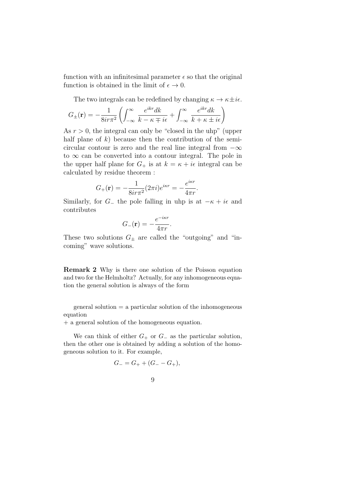function with an infinitesimal parameter  $\epsilon$  so that the original function is obtained in the limit of  $\epsilon \to 0$ .

The two integrals can be redefined by changing  $\kappa \to \kappa \pm i\epsilon$ .

$$
G_{\pm}(\mathbf{r}) = -\frac{1}{8i\tau\pi^2} \left( \int_{-\infty}^{\infty} \frac{e^{ikr}dk}{k - \kappa \mp i\epsilon} + \int_{-\infty}^{\infty} \frac{e^{ikr}dk}{k + \kappa \pm i\epsilon} \right)
$$

As  $r > 0$ , the integral can only be "closed in the uhp" (upper half plane of  $k$ ) because then the contribution of the semicircular contour is zero and the real line integral from  $-\infty$ to  $\infty$  can be converted into a contour integral. The pole in the upper half plane for  $G_+$  is at  $k = \kappa + i\epsilon$  integral can be calculated by residue theorem :

$$
G_{+}(\mathbf{r})=-\frac{1}{8ir\pi^{2}}(2\pi i)e^{i\kappa r}=-\frac{e^{i\kappa r}}{4\pi r}.
$$

Similarly, for  $G_{-}$  the pole falling in uhp is at  $-\kappa + i\epsilon$  and contributes

$$
G_{-}(\mathbf{r}) = -\frac{e^{-i\kappa r}}{4\pi r}.
$$

These two solutions  $G_{\pm}$  are called the "outgoing" and "incoming" wave solutions.

Remark 2 Why is there one solution of the Poisson equation and two for the Helmholtz? Actually, for any inhomogeneous equation the general solution is always of the form

general solution = a particular solution of the inhomogeneous equation

+ a general solution of the homogeneous equation.

We can think of either  $G_+$  or  $G_-$  as the particular solution, then the other one is obtained by adding a solution of the homogeneous solution to it. For example,

$$
G_{-}=G_{+}+(G_{-}-G_{+}),
$$

$$
9 \\
$$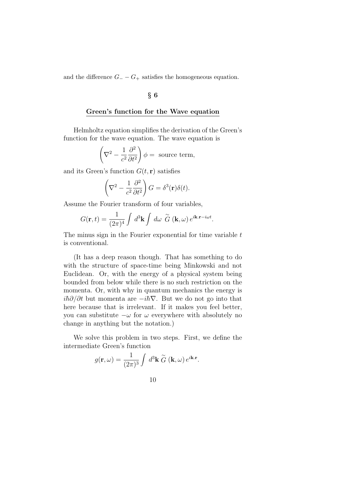and the difference  $G_ - - G_+$  satisfies the homogeneous equation.

### § 6

### Green's function for the Wave equation

Helmholtz equation simplifies the derivation of the Green's function for the wave equation. The wave equation is

$$
\left(\nabla^2 - \frac{1}{c^2} \frac{\partial^2}{\partial t^2}\right)\phi = \text{ source term},
$$

and its Green's function  $G(t, r)$  satisfies

$$
\left(\nabla^2 - \frac{1}{c^2} \frac{\partial^2}{\partial t^2}\right) G = \delta^3(\mathbf{r}) \delta(t).
$$

Assume the Fourier transform of four variables,

$$
G(\mathbf{r},t) = \frac{1}{(2\pi)^4} \int d^3\mathbf{k} \int d\omega \, \widetilde{G} \, (\mathbf{k},\omega) \, e^{i\mathbf{k}.\mathbf{r}-i\omega t}.
$$

The minus sign in the Fourier exponential for time variable  $t$ is conventional.

(It has a deep reason though. That has something to do with the structure of space-time being Minkowski and not Euclidean. Or, with the energy of a physical system being bounded from below while there is no such restriction on the momenta. Or, with why in quantum mechanics the energy is  $i\hbar\partial/\partial t$  but momenta are  $-i\hbar\nabla$ . But we do not go into that here because that is irrelevant. If it makes you feel better, you can substitute  $-\omega$  for  $\omega$  everywhere with absolutely no change in anything but the notation.)

We solve this problem in two steps. First, we define the intermediate Green's function

$$
g(\mathbf{r}, \omega) = \frac{1}{(2\pi)^3} \int d^3 \mathbf{k} \, \widetilde{G} \, (\mathbf{k}, \omega) \, e^{i\mathbf{k} \cdot \mathbf{r}}.
$$

$$
10\quad
$$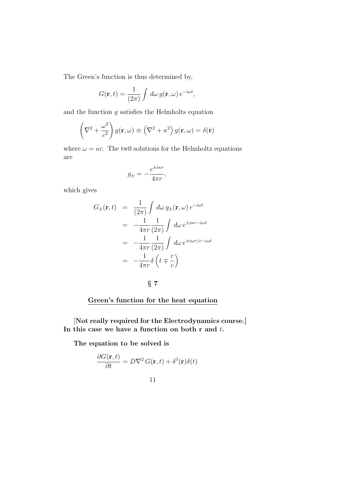The Green's function is thus determined by,

$$
G(\mathbf{r},t) = \frac{1}{(2\pi)} \int d\omega \, g(\mathbf{r},\omega) \, e^{-i\omega t},
$$

and the function  $g$  satisfies the Helmholts equation

$$
\left(\nabla^2 + \frac{\omega^2}{c^2}\right) g(\mathbf{r}, \omega) \equiv \left(\nabla^2 + \kappa^2\right) g(\mathbf{r}, \omega) = \delta(\mathbf{r})
$$

where  $\omega = \kappa c$ . The two solutions for the Helmholtz equations are

$$
g_{\pm} = -\frac{e^{\pm i\kappa r}}{4\pi r},
$$

which gives

$$
G_{\pm}(\mathbf{r},t) = \frac{1}{(2\pi)} \int d\omega g_{\pm}(\mathbf{r},\omega) e^{-i\omega t}
$$
  

$$
= -\frac{1}{4\pi r} \frac{1}{(2\pi)} \int d\omega e^{\pm i\kappa r - i\omega t}
$$
  

$$
= -\frac{1}{4\pi r} \frac{1}{(2\pi)} \int d\omega e^{\pm i\omega r/c - i\omega t}
$$
  

$$
= -\frac{1}{4\pi r} \delta \left( t \mp \frac{r}{c} \right)
$$

§ 7

## Green's function for the heat equation

[Not really required for the Electrodynamics course.] In this case we have a function on both  $r$  and  $t$ .

The equation to be solved is

$$
\frac{\partial G(\mathbf{r},t)}{\partial t} = D\nabla^2 G(\mathbf{r},t) + \delta^3(\mathbf{r})\delta(t)
$$

11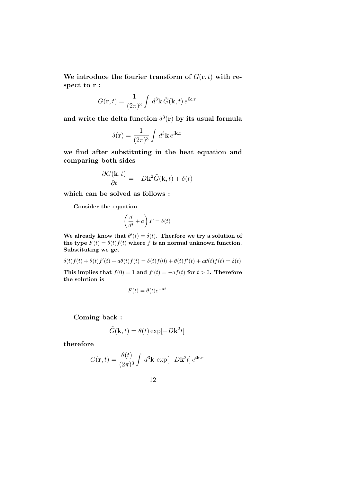We introduce the fourier transform of  $G(\mathbf{r}, t)$  with respect to r :

$$
G(\mathbf{r},t) = \frac{1}{(2\pi)^3} \int d^3\mathbf{k} \, \tilde{G}(\mathbf{k},t) \, e^{i\mathbf{k}.\mathbf{r}}
$$

and write the delta function  $\delta^3(r)$  by its usual formula

$$
\delta(\mathbf{r}) = \frac{1}{(2\pi)^3} \int d^3 \mathbf{k} e^{i\mathbf{k} \cdot \mathbf{r}}
$$

we find after substituting in the heat equation and comparing both sides

$$
\frac{\partial \tilde{G}(\mathbf{k},t)}{\partial t} = -D\mathbf{k}^2 \tilde{G}(\mathbf{k},t) + \delta(t)
$$

which can be solved as follows :

Consider the equation

$$
\left(\frac{d}{dt} + a\right)F = \delta(t)
$$

We already know that  $\theta'(t) = \delta(t)$ . Therfore we try a solution of the type  $F(t) = \theta(t) f(t)$  where f is an normal unknown function. Substituting we get

$$
\delta(t)f(t) + \theta(t)f'(t) + a\theta(t)f(t) = \delta(t)f(0) + \theta(t)f'(t) + a\theta(t)f(t) = \delta(t)
$$

This implies that  $f(0) = 1$  and  $f'(t) = -af(t)$  for  $t > 0$ . Therefore the solution is

$$
F(t) = \theta(t)e^{-at}
$$

Coming back :

$$
\tilde{G}(\mathbf{k},t) = \theta(t) \exp[-D\mathbf{k}^2 t]
$$

therefore

$$
G(\mathbf{r},t) = \frac{\theta(t)}{(2\pi)^3} \int d^3 \mathbf{k} \, \exp[-D\mathbf{k}^2 t] \, e^{i\mathbf{k} \cdot \mathbf{r}}
$$

12